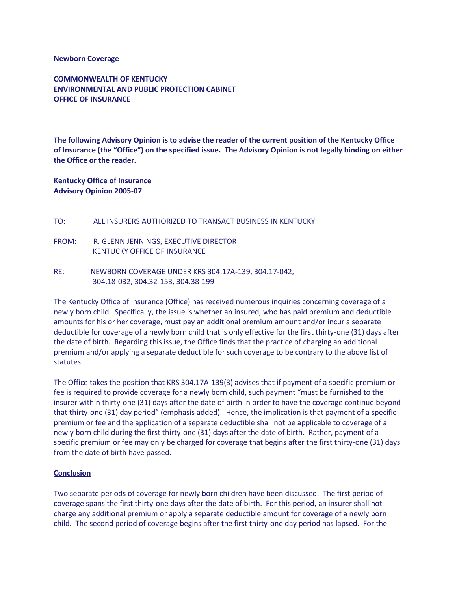## **Newborn Coverage**

**COMMONWEALTH OF KENTUCKY ENVIRONMENTAL AND PUBLIC PROTECTION CABINET OFFICE OF INSURANCE**

**The following Advisory Opinion is to advise the reader of the current position of the Kentucky Office of Insurance (the "Office") on the specified issue. The Advisory Opinion is not legally binding on either the Office or the reader.**

**Kentucky Office of Insurance Advisory Opinion 2005-07**

- TO: ALL INSURERS AUTHORIZED TO TRANSACT BUSINESS IN KENTUCKY
- FROM: R. GLENN JENNINGS, EXECUTIVE DIRECTOR KENTUCKY OFFICE OF INSURANCE
- RE: NEWBORN COVERAGE UNDER KRS 304.17A-139, 304.17-042, 304.18-032, 304.32-153, 304.38-199

The Kentucky Office of Insurance (Office) has received numerous inquiries concerning coverage of a newly born child. Specifically, the issue is whether an insured, who has paid premium and deductible amounts for his or her coverage, must pay an additional premium amount and/or incur a separate deductible for coverage of a newly born child that is only effective for the first thirty-one (31) days after the date of birth. Regarding this issue, the Office finds that the practice of charging an additional premium and/or applying a separate deductible for such coverage to be contrary to the above list of statutes.

The Office takes the position that KRS 304.17A-139(3) advises that if payment of a specific premium or fee is required to provide coverage for a newly born child, such payment "must be furnished to the insurer within thirty-one (31) days after the date of birth in order to have the coverage continue beyond that thirty-one (31) day period" (emphasis added). Hence, the implication is that payment of a specific premium or fee and the application of a separate deductible shall not be applicable to coverage of a newly born child during the first thirty-one (31) days after the date of birth. Rather, payment of a specific premium or fee may only be charged for coverage that begins after the first thirty-one (31) days from the date of birth have passed.

## **Conclusion**

Two separate periods of coverage for newly born children have been discussed. The first period of coverage spans the first thirty-one days after the date of birth. For this period, an insurer shall not charge any additional premium or apply a separate deductible amount for coverage of a newly born child. The second period of coverage begins after the first thirty-one day period has lapsed. For the